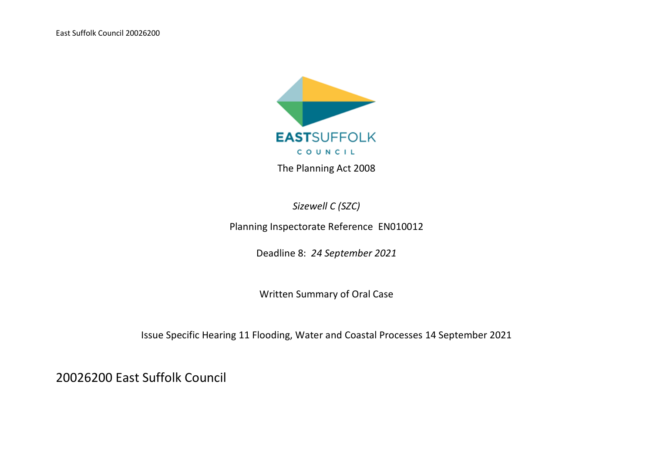East Suffolk Council 20026200



*Sizewell C (SZC)*

Planning Inspectorate Reference EN010012

Deadline 8: *24 September 2021*

Written Summary of Oral Case

Issue Specific Hearing 11 Flooding, Water and Coastal Processes 14 September 2021

20026200 East Suffolk Council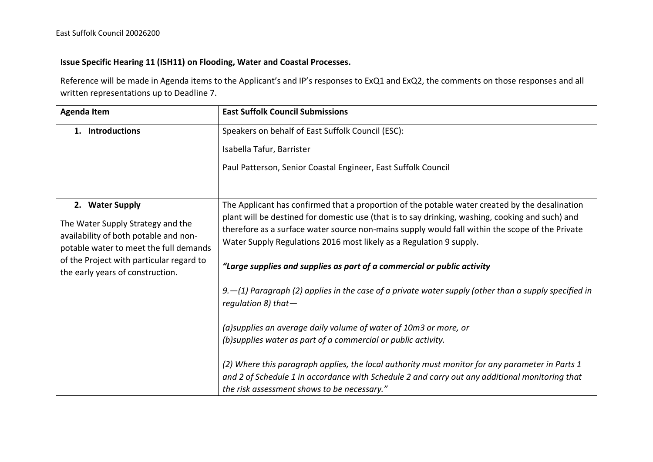## **Issue Specific Hearing 11 (ISH11) on Flooding, Water and Coastal Processes.**

Reference will be made in Agenda items to the Applicant's and IP's responses to ExQ1 and ExQ2, the comments on those responses and all written representations up to Deadline 7.

| <b>Agenda Item</b>                                                                                                                                                                                                      | <b>East Suffolk Council Submissions</b>                                                                                                                                                                                                                                                                                                                                                                                                                                                                                                                                                      |
|-------------------------------------------------------------------------------------------------------------------------------------------------------------------------------------------------------------------------|----------------------------------------------------------------------------------------------------------------------------------------------------------------------------------------------------------------------------------------------------------------------------------------------------------------------------------------------------------------------------------------------------------------------------------------------------------------------------------------------------------------------------------------------------------------------------------------------|
| 1. Introductions                                                                                                                                                                                                        | Speakers on behalf of East Suffolk Council (ESC):<br>Isabella Tafur, Barrister<br>Paul Patterson, Senior Coastal Engineer, East Suffolk Council                                                                                                                                                                                                                                                                                                                                                                                                                                              |
| 2. Water Supply<br>The Water Supply Strategy and the<br>availability of both potable and non-<br>potable water to meet the full demands<br>of the Project with particular regard to<br>the early years of construction. | The Applicant has confirmed that a proportion of the potable water created by the desalination<br>plant will be destined for domestic use (that is to say drinking, washing, cooking and such) and<br>therefore as a surface water source non-mains supply would fall within the scope of the Private<br>Water Supply Regulations 2016 most likely as a Regulation 9 supply.<br>"Large supplies and supplies as part of a commercial or public activity<br>9. $-(1)$ Paragraph (2) applies in the case of a private water supply (other than a supply specified in<br>requlation 8) that $-$ |
|                                                                                                                                                                                                                         | (a) supplies an average daily volume of water of 10m3 or more, or<br>(b) supplies water as part of a commercial or public activity.<br>(2) Where this paragraph applies, the local authority must monitor for any parameter in Parts 1<br>and 2 of Schedule 1 in accordance with Schedule 2 and carry out any additional monitoring that<br>the risk assessment shows to be necessary."                                                                                                                                                                                                      |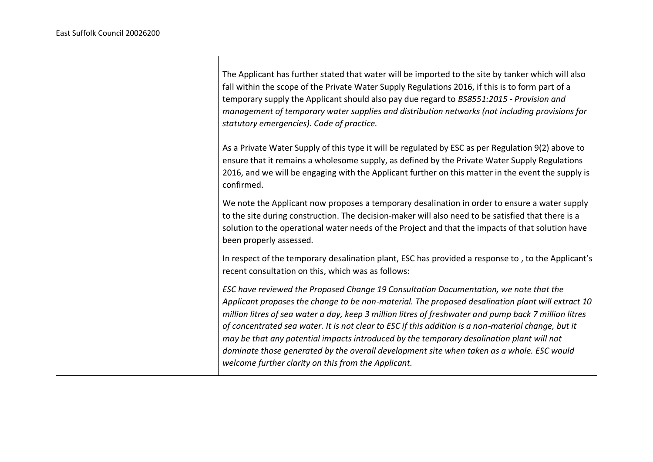| The Applicant has further stated that water will be imported to the site by tanker which will also<br>fall within the scope of the Private Water Supply Regulations 2016, if this is to form part of a<br>temporary supply the Applicant should also pay due regard to BS8551:2015 - Provision and<br>management of temporary water supplies and distribution networks (not including provisions for<br>statutory emergencies). Code of practice.                                                                                                                                                                                                           |
|-------------------------------------------------------------------------------------------------------------------------------------------------------------------------------------------------------------------------------------------------------------------------------------------------------------------------------------------------------------------------------------------------------------------------------------------------------------------------------------------------------------------------------------------------------------------------------------------------------------------------------------------------------------|
| As a Private Water Supply of this type it will be regulated by ESC as per Regulation 9(2) above to<br>ensure that it remains a wholesome supply, as defined by the Private Water Supply Regulations<br>2016, and we will be engaging with the Applicant further on this matter in the event the supply is<br>confirmed.                                                                                                                                                                                                                                                                                                                                     |
| We note the Applicant now proposes a temporary desalination in order to ensure a water supply<br>to the site during construction. The decision-maker will also need to be satisfied that there is a<br>solution to the operational water needs of the Project and that the impacts of that solution have<br>been properly assessed.                                                                                                                                                                                                                                                                                                                         |
| In respect of the temporary desalination plant, ESC has provided a response to, to the Applicant's<br>recent consultation on this, which was as follows:                                                                                                                                                                                                                                                                                                                                                                                                                                                                                                    |
| ESC have reviewed the Proposed Change 19 Consultation Documentation, we note that the<br>Applicant proposes the change to be non-material. The proposed desalination plant will extract 10<br>million litres of sea water a day, keep 3 million litres of freshwater and pump back 7 million litres<br>of concentrated sea water. It is not clear to ESC if this addition is a non-material change, but it<br>may be that any potential impacts introduced by the temporary desalination plant will not<br>dominate those generated by the overall development site when taken as a whole. ESC would<br>welcome further clarity on this from the Applicant. |

┑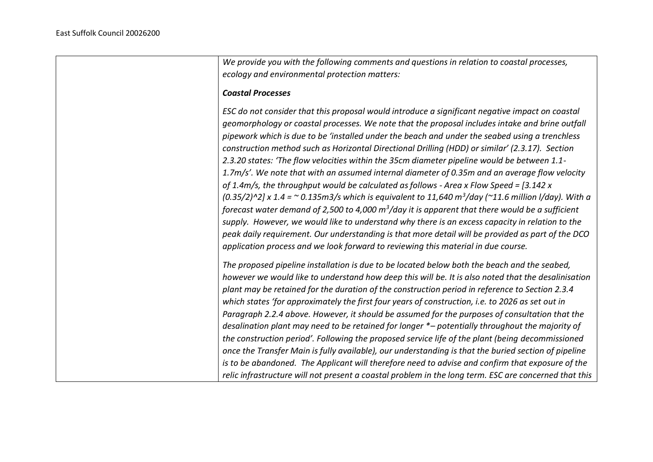*We provide you with the following comments and questions in relation to coastal processes, ecology and environmental protection matters: Coastal Processes ESC do not consider that this proposal would introduce a significant negative impact on coastal geomorphology or coastal processes. We note that the proposal includes intake and brine outfall pipework which is due to be 'installed under the beach and under the seabed using a trenchless construction method such as Horizontal Directional Drilling (HDD) or similar' (2.3.17). Section 2.3.20 states: 'The flow velocities within the 35cm diameter pipeline would be between 1.1- 1.7m/s'. We note that with an assumed internal diameter of 0.35m and an average flow velocity of 1.4m/s, the throughput would be calculated as follows - Area x Flow Speed = [3.142 x (0.35/2)^2] x 1.4 = ~ 0.135m3/s which is equivalent to 11,640 m<sup>3</sup> /day (~11.6 million l/day). With a forecast water demand of 2,500 to 4,000 m<sup>3</sup> /day it is apparent that there would be a sufficient supply. However, we would like to understand why there is an excess capacity in relation to the peak daily requirement. Our understanding is that more detail will be provided as part of the DCO application process and we look forward to reviewing this material in due course. The proposed pipeline installation is due to be located below both the beach and the seabed, however we would like to understand how deep this will be. It is also noted that the desalinisation plant may be retained for the duration of the construction period in reference to Section 2.3.4 which states 'for approximately the first four years of construction, i.e. to 2026 as set out in Paragraph 2.2.4 above. However, it should be assumed for the purposes of consultation that the desalination plant may need to be retained for longer \*– potentially throughout the majority of the construction period'. Following the proposed service life of the plant (being decommissioned once the Transfer Main is fully available), our understanding is that the buried section of pipeline is to be abandoned. The Applicant will therefore need to advise and confirm that exposure of the relic infrastructure will not present a coastal problem in the long term. ESC are concerned that this*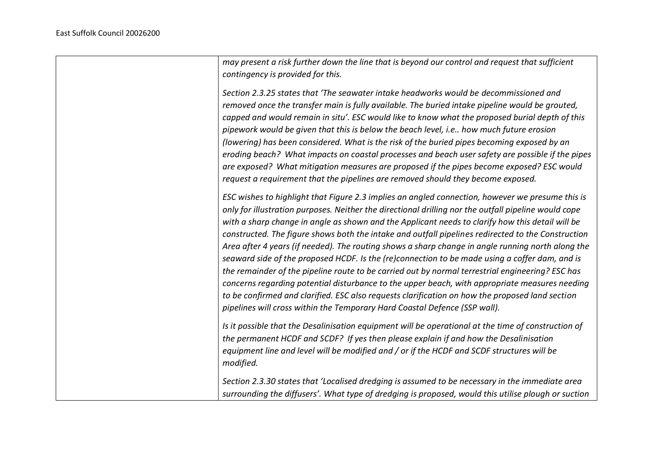| may present a risk further down the line that is beyond our control and request that sufficient<br>contingency is provided for this.                                                                                                                                                                                                                                                                                                                                                                                                                                                                                                                                                                                                                                                                                                                                                                                                                                                                             |
|------------------------------------------------------------------------------------------------------------------------------------------------------------------------------------------------------------------------------------------------------------------------------------------------------------------------------------------------------------------------------------------------------------------------------------------------------------------------------------------------------------------------------------------------------------------------------------------------------------------------------------------------------------------------------------------------------------------------------------------------------------------------------------------------------------------------------------------------------------------------------------------------------------------------------------------------------------------------------------------------------------------|
| Section 2.3.25 states that 'The seawater intake headworks would be decommissioned and<br>removed once the transfer main is fully available. The buried intake pipeline would be grouted,<br>capped and would remain in situ'. ESC would like to know what the proposed burial depth of this<br>pipework would be given that this is below the beach level, i.e how much future erosion<br>(lowering) has been considered. What is the risk of the buried pipes becoming exposed by an<br>eroding beach? What impacts on coastal processes and beach user safety are possible if the pipes<br>are exposed? What mitigation measures are proposed if the pipes become exposed? ESC would<br>request a requirement that the pipelines are removed should they become exposed.                                                                                                                                                                                                                                       |
| ESC wishes to highlight that Figure 2.3 implies an angled connection, however we presume this is<br>only for illustration purposes. Neither the directional drilling nor the outfall pipeline would cope<br>with a sharp change in angle as shown and the Applicant needs to clarify how this detail will be<br>constructed. The figure shows both the intake and outfall pipelines redirected to the Construction<br>Area after 4 years (if needed). The routing shows a sharp change in angle running north along the<br>seaward side of the proposed HCDF. Is the (re)connection to be made using a coffer dam, and is<br>the remainder of the pipeline route to be carried out by normal terrestrial engineering? ESC has<br>concerns regarding potential disturbance to the upper beach, with appropriate measures needing<br>to be confirmed and clarified. ESC also requests clarification on how the proposed land section<br>pipelines will cross within the Temporary Hard Coastal Defence (SSP wall). |
| Is it possible that the Desalinisation equipment will be operational at the time of construction of<br>the permanent HCDF and SCDF? If yes then please explain if and how the Desalinisation<br>equipment line and level will be modified and / or if the HCDF and SCDF structures will be<br>modified.                                                                                                                                                                                                                                                                                                                                                                                                                                                                                                                                                                                                                                                                                                          |
| Section 2.3.30 states that 'Localised dredging is assumed to be necessary in the immediate area<br>surrounding the diffusers'. What type of dredging is proposed, would this utilise plough or suction                                                                                                                                                                                                                                                                                                                                                                                                                                                                                                                                                                                                                                                                                                                                                                                                           |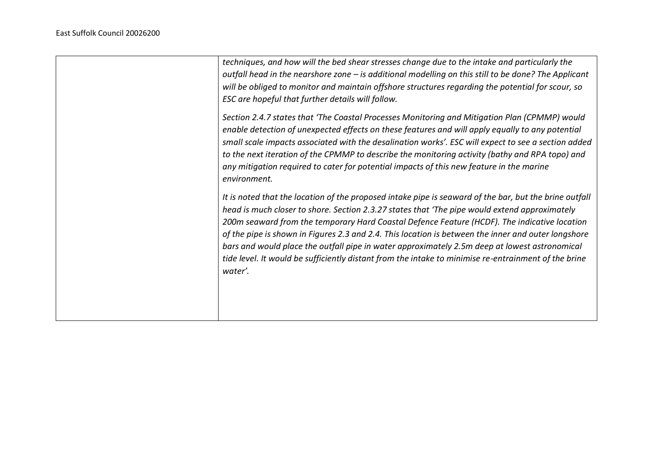| techniques, and how will the bed shear stresses change due to the intake and particularly the<br>outfall head in the nearshore zone - is additional modelling on this still to be done? The Applicant<br>will be obliged to monitor and maintain offshore structures regarding the potential for scour, so<br>ESC are hopeful that further details will follow.                                                                                                                                                                                                                                                                    |
|------------------------------------------------------------------------------------------------------------------------------------------------------------------------------------------------------------------------------------------------------------------------------------------------------------------------------------------------------------------------------------------------------------------------------------------------------------------------------------------------------------------------------------------------------------------------------------------------------------------------------------|
| Section 2.4.7 states that 'The Coastal Processes Monitoring and Mitigation Plan (CPMMP) would<br>enable detection of unexpected effects on these features and will apply equally to any potential<br>small scale impacts associated with the desalination works'. ESC will expect to see a section added<br>to the next iteration of the CPMMP to describe the monitoring activity (bathy and RPA topo) and<br>any mitigation required to cater for potential impacts of this new feature in the marine<br>environment.                                                                                                            |
| It is noted that the location of the proposed intake pipe is seaward of the bar, but the brine outfall<br>head is much closer to shore. Section 2.3.27 states that 'The pipe would extend approximately<br>200m seaward from the temporary Hard Coastal Defence Feature (HCDF). The indicative location<br>of the pipe is shown in Figures 2.3 and 2.4. This location is between the inner and outer longshore<br>bars and would place the outfall pipe in water approximately 2.5m deep at lowest astronomical<br>tide level. It would be sufficiently distant from the intake to minimise re-entrainment of the brine<br>water'. |
|                                                                                                                                                                                                                                                                                                                                                                                                                                                                                                                                                                                                                                    |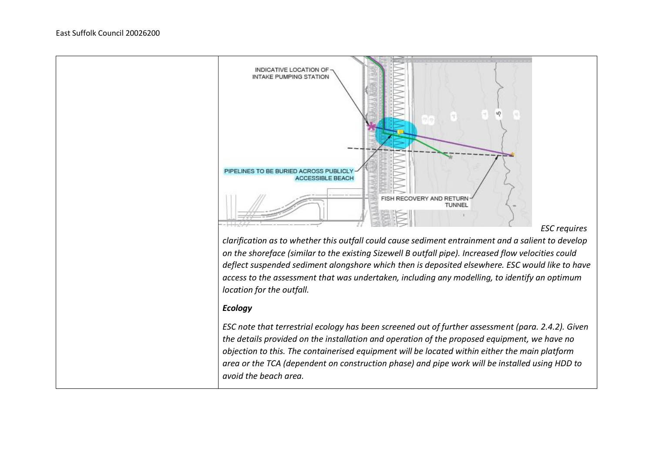

*clarification as to whether this outfall could cause sediment entrainment and a salient to develop on the shoreface (similar to the existing Sizewell B outfall pipe). Increased flow velocities could deflect suspended sediment alongshore which then is deposited elsewhere. ESC would like to have access to the assessment that was undertaken, including any modelling, to identify an optimum location for the outfall.*

## *Ecology*

*ESC note that terrestrial ecology has been screened out of further assessment (para. 2.4.2). Given the details provided on the installation and operation of the proposed equipment, we have no objection to this. The containerised equipment will be located within either the main platform area or the TCA (dependent on construction phase) and pipe work will be installed using HDD to avoid the beach area.*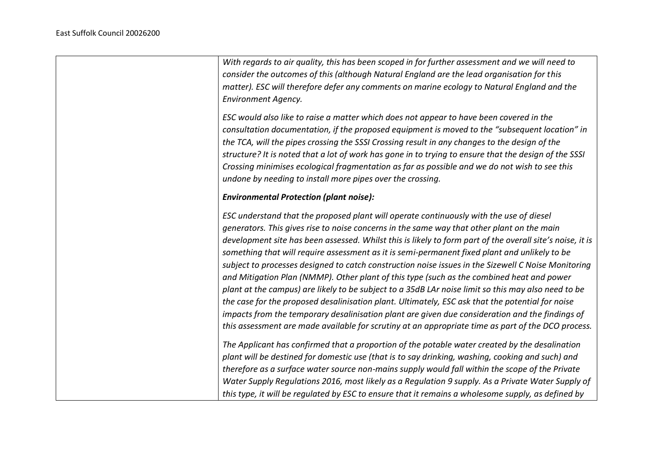| With regards to air quality, this has been scoped in for further assessment and we will need to                                                                                                                                                                                                                                                                                                                                                                                                                                                                                                                                                                                                                                                                                                                                                                                                                                                                                                                             |
|-----------------------------------------------------------------------------------------------------------------------------------------------------------------------------------------------------------------------------------------------------------------------------------------------------------------------------------------------------------------------------------------------------------------------------------------------------------------------------------------------------------------------------------------------------------------------------------------------------------------------------------------------------------------------------------------------------------------------------------------------------------------------------------------------------------------------------------------------------------------------------------------------------------------------------------------------------------------------------------------------------------------------------|
| consider the outcomes of this (although Natural England are the lead organisation for this                                                                                                                                                                                                                                                                                                                                                                                                                                                                                                                                                                                                                                                                                                                                                                                                                                                                                                                                  |
| matter). ESC will therefore defer any comments on marine ecology to Natural England and the                                                                                                                                                                                                                                                                                                                                                                                                                                                                                                                                                                                                                                                                                                                                                                                                                                                                                                                                 |
| <b>Environment Agency.</b>                                                                                                                                                                                                                                                                                                                                                                                                                                                                                                                                                                                                                                                                                                                                                                                                                                                                                                                                                                                                  |
| ESC would also like to raise a matter which does not appear to have been covered in the<br>consultation documentation, if the proposed equipment is moved to the "subsequent location" in<br>the TCA, will the pipes crossing the SSSI Crossing result in any changes to the design of the<br>structure? It is noted that a lot of work has gone in to trying to ensure that the design of the SSSI<br>Crossing minimises ecological fragmentation as far as possible and we do not wish to see this<br>undone by needing to install more pipes over the crossing.                                                                                                                                                                                                                                                                                                                                                                                                                                                          |
| <b>Environmental Protection (plant noise):</b>                                                                                                                                                                                                                                                                                                                                                                                                                                                                                                                                                                                                                                                                                                                                                                                                                                                                                                                                                                              |
| ESC understand that the proposed plant will operate continuously with the use of diesel<br>generators. This gives rise to noise concerns in the same way that other plant on the main<br>development site has been assessed. Whilst this is likely to form part of the overall site's noise, it is<br>something that will require assessment as it is semi-permanent fixed plant and unlikely to be<br>subject to processes designed to catch construction noise issues in the Sizewell C Noise Monitoring<br>and Mitigation Plan (NMMP). Other plant of this type (such as the combined heat and power<br>plant at the campus) are likely to be subject to a 35dB LAr noise limit so this may also need to be<br>the case for the proposed desalinisation plant. Ultimately, ESC ask that the potential for noise<br>impacts from the temporary desalinisation plant are given due consideration and the findings of<br>this assessment are made available for scrutiny at an appropriate time as part of the DCO process. |
| The Applicant has confirmed that a proportion of the potable water created by the desalination<br>plant will be destined for domestic use (that is to say drinking, washing, cooking and such) and<br>therefore as a surface water source non-mains supply would fall within the scope of the Private<br>Water Supply Regulations 2016, most likely as a Regulation 9 supply. As a Private Water Supply of<br>this type, it will be regulated by ESC to ensure that it remains a wholesome supply, as defined by                                                                                                                                                                                                                                                                                                                                                                                                                                                                                                            |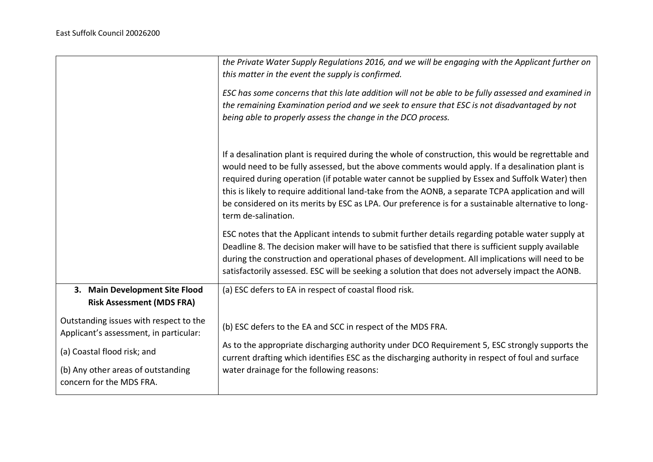|                                                                                  | the Private Water Supply Regulations 2016, and we will be engaging with the Applicant further on<br>this matter in the event the supply is confirmed.                                                                                                                                                                                                                                                                                                                                                                                         |
|----------------------------------------------------------------------------------|-----------------------------------------------------------------------------------------------------------------------------------------------------------------------------------------------------------------------------------------------------------------------------------------------------------------------------------------------------------------------------------------------------------------------------------------------------------------------------------------------------------------------------------------------|
|                                                                                  | ESC has some concerns that this late addition will not be able to be fully assessed and examined in<br>the remaining Examination period and we seek to ensure that ESC is not disadvantaged by not<br>being able to properly assess the change in the DCO process.                                                                                                                                                                                                                                                                            |
|                                                                                  | If a desalination plant is required during the whole of construction, this would be regrettable and<br>would need to be fully assessed, but the above comments would apply. If a desalination plant is<br>required during operation (if potable water cannot be supplied by Essex and Suffolk Water) then<br>this is likely to require additional land-take from the AONB, a separate TCPA application and will<br>be considered on its merits by ESC as LPA. Our preference is for a sustainable alternative to long-<br>term de-salination. |
|                                                                                  | ESC notes that the Applicant intends to submit further details regarding potable water supply at<br>Deadline 8. The decision maker will have to be satisfied that there is sufficient supply available<br>during the construction and operational phases of development. All implications will need to be<br>satisfactorily assessed. ESC will be seeking a solution that does not adversely impact the AONB.                                                                                                                                 |
| 3. Main Development Site Flood<br><b>Risk Assessment (MDS FRA)</b>               | (a) ESC defers to EA in respect of coastal flood risk.                                                                                                                                                                                                                                                                                                                                                                                                                                                                                        |
| Outstanding issues with respect to the<br>Applicant's assessment, in particular: | (b) ESC defers to the EA and SCC in respect of the MDS FRA.                                                                                                                                                                                                                                                                                                                                                                                                                                                                                   |
| (a) Coastal flood risk; and                                                      | As to the appropriate discharging authority under DCO Requirement 5, ESC strongly supports the<br>current drafting which identifies ESC as the discharging authority in respect of foul and surface                                                                                                                                                                                                                                                                                                                                           |
| (b) Any other areas of outstanding<br>concern for the MDS FRA.                   | water drainage for the following reasons:                                                                                                                                                                                                                                                                                                                                                                                                                                                                                                     |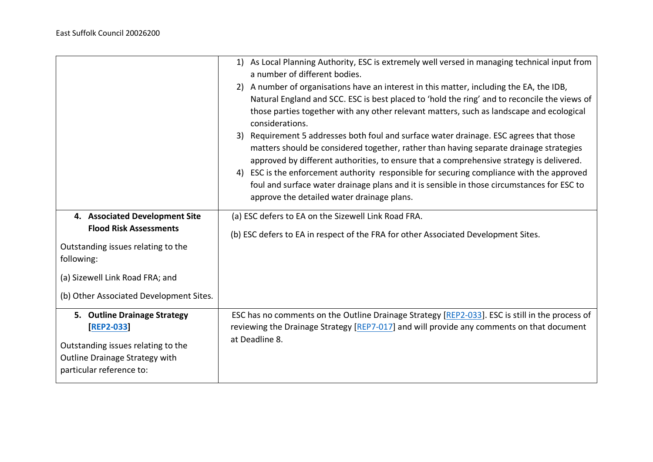|                                                                                                                                                                                                   | 1) As Local Planning Authority, ESC is extremely well versed in managing technical input from<br>a number of different bodies.<br>2) A number of organisations have an interest in this matter, including the EA, the IDB,<br>Natural England and SCC. ESC is best placed to 'hold the ring' and to reconcile the views of<br>those parties together with any other relevant matters, such as landscape and ecological<br>considerations.<br>Requirement 5 addresses both foul and surface water drainage. ESC agrees that those<br>3)<br>matters should be considered together, rather than having separate drainage strategies<br>approved by different authorities, to ensure that a comprehensive strategy is delivered.<br>4) ESC is the enforcement authority responsible for securing compliance with the approved<br>foul and surface water drainage plans and it is sensible in those circumstances for ESC to<br>approve the detailed water drainage plans. |
|---------------------------------------------------------------------------------------------------------------------------------------------------------------------------------------------------|-----------------------------------------------------------------------------------------------------------------------------------------------------------------------------------------------------------------------------------------------------------------------------------------------------------------------------------------------------------------------------------------------------------------------------------------------------------------------------------------------------------------------------------------------------------------------------------------------------------------------------------------------------------------------------------------------------------------------------------------------------------------------------------------------------------------------------------------------------------------------------------------------------------------------------------------------------------------------|
| 4. Associated Development Site<br><b>Flood Risk Assessments</b><br>Outstanding issues relating to the<br>following:<br>(a) Sizewell Link Road FRA; and<br>(b) Other Associated Development Sites. | (a) ESC defers to EA on the Sizewell Link Road FRA.<br>(b) ESC defers to EA in respect of the FRA for other Associated Development Sites.                                                                                                                                                                                                                                                                                                                                                                                                                                                                                                                                                                                                                                                                                                                                                                                                                             |
| 5. Outline Drainage Strategy<br><b>[REP2-033]</b><br>Outstanding issues relating to the<br>Outline Drainage Strategy with<br>particular reference to:                                             | ESC has no comments on the Outline Drainage Strategy [REP2-033]. ESC is still in the process of<br>reviewing the Drainage Strategy [REP7-017] and will provide any comments on that document<br>at Deadline 8.                                                                                                                                                                                                                                                                                                                                                                                                                                                                                                                                                                                                                                                                                                                                                        |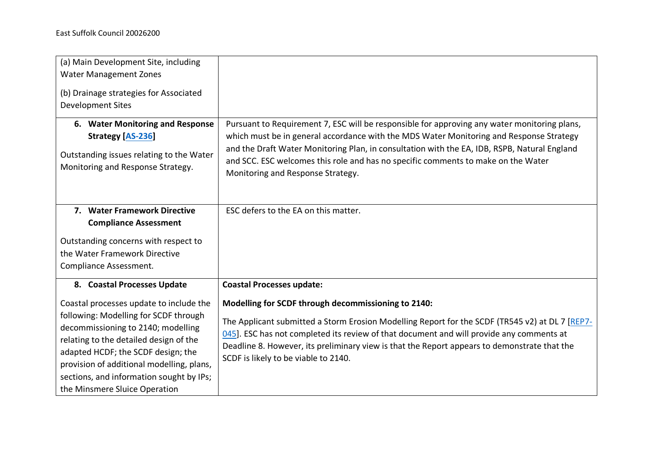| (a) Main Development Site, including<br><b>Water Management Zones</b><br>(b) Drainage strategies for Associated<br><b>Development Sites</b>                                                                                                                                                                                                                     |                                                                                                                                                                                                                                                                                                                                                                                                                                |
|-----------------------------------------------------------------------------------------------------------------------------------------------------------------------------------------------------------------------------------------------------------------------------------------------------------------------------------------------------------------|--------------------------------------------------------------------------------------------------------------------------------------------------------------------------------------------------------------------------------------------------------------------------------------------------------------------------------------------------------------------------------------------------------------------------------|
| 6. Water Monitoring and Response<br><b>Strategy [AS-236]</b><br>Outstanding issues relating to the Water<br>Monitoring and Response Strategy.                                                                                                                                                                                                                   | Pursuant to Requirement 7, ESC will be responsible for approving any water monitoring plans,<br>which must be in general accordance with the MDS Water Monitoring and Response Strategy<br>and the Draft Water Monitoring Plan, in consultation with the EA, IDB, RSPB, Natural England<br>and SCC. ESC welcomes this role and has no specific comments to make on the Water<br>Monitoring and Response Strategy.              |
| 7. Water Framework Directive<br><b>Compliance Assessment</b><br>Outstanding concerns with respect to<br>the Water Framework Directive<br>Compliance Assessment.                                                                                                                                                                                                 | ESC defers to the EA on this matter.                                                                                                                                                                                                                                                                                                                                                                                           |
| 8. Coastal Processes Update<br>Coastal processes update to include the<br>following: Modelling for SCDF through<br>decommissioning to 2140; modelling<br>relating to the detailed design of the<br>adapted HCDF; the SCDF design; the<br>provision of additional modelling, plans,<br>sections, and information sought by IPs;<br>the Minsmere Sluice Operation | <b>Coastal Processes update:</b><br>Modelling for SCDF through decommissioning to 2140:<br>The Applicant submitted a Storm Erosion Modelling Report for the SCDF (TR545 v2) at DL 7 [REP7-<br>045]. ESC has not completed its review of that document and will provide any comments at<br>Deadline 8. However, its preliminary view is that the Report appears to demonstrate that the<br>SCDF is likely to be viable to 2140. |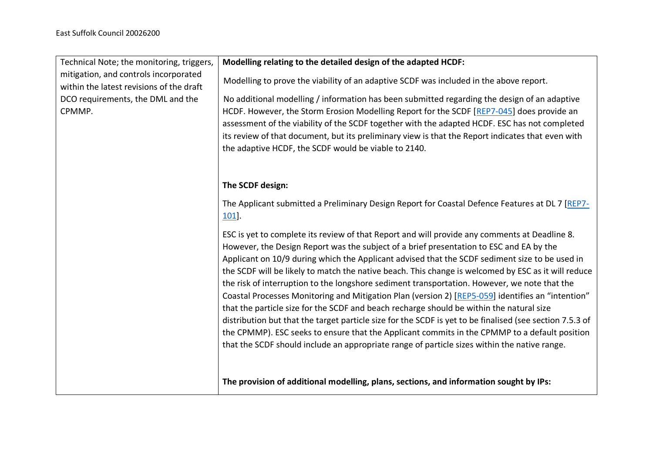| Technical Note; the monitoring, triggers,                                         | Modelling relating to the detailed design of the adapted HCDF:                                                                                                                                |
|-----------------------------------------------------------------------------------|-----------------------------------------------------------------------------------------------------------------------------------------------------------------------------------------------|
| mitigation, and controls incorporated<br>within the latest revisions of the draft | Modelling to prove the viability of an adaptive SCDF was included in the above report.                                                                                                        |
| DCO requirements, the DML and the                                                 | No additional modelling / information has been submitted regarding the design of an adaptive                                                                                                  |
| CPMMP.                                                                            | HCDF. However, the Storm Erosion Modelling Report for the SCDF [REP7-045] does provide an                                                                                                     |
|                                                                                   | assessment of the viability of the SCDF together with the adapted HCDF. ESC has not completed                                                                                                 |
|                                                                                   | its review of that document, but its preliminary view is that the Report indicates that even with                                                                                             |
|                                                                                   | the adaptive HCDF, the SCDF would be viable to 2140.                                                                                                                                          |
|                                                                                   |                                                                                                                                                                                               |
|                                                                                   | The SCDF design:                                                                                                                                                                              |
|                                                                                   | The Applicant submitted a Preliminary Design Report for Coastal Defence Features at DL 7 [REP7-<br>$101$ .                                                                                    |
|                                                                                   | ESC is yet to complete its review of that Report and will provide any comments at Deadline 8.                                                                                                 |
|                                                                                   | However, the Design Report was the subject of a brief presentation to ESC and EA by the                                                                                                       |
|                                                                                   | Applicant on 10/9 during which the Applicant advised that the SCDF sediment size to be used in                                                                                                |
|                                                                                   | the SCDF will be likely to match the native beach. This change is welcomed by ESC as it will reduce                                                                                           |
|                                                                                   | the risk of interruption to the longshore sediment transportation. However, we note that the                                                                                                  |
|                                                                                   | Coastal Processes Monitoring and Mitigation Plan (version 2) [REP5-059] identifies an "intention"<br>that the particle size for the SCDF and beach recharge should be within the natural size |
|                                                                                   | distribution but that the target particle size for the SCDF is yet to be finalised (see section 7.5.3 of                                                                                      |
|                                                                                   | the CPMMP). ESC seeks to ensure that the Applicant commits in the CPMMP to a default position                                                                                                 |
|                                                                                   | that the SCDF should include an appropriate range of particle sizes within the native range.                                                                                                  |
|                                                                                   |                                                                                                                                                                                               |
|                                                                                   |                                                                                                                                                                                               |
|                                                                                   | The provision of additional modelling, plans, sections, and information sought by IPs:                                                                                                        |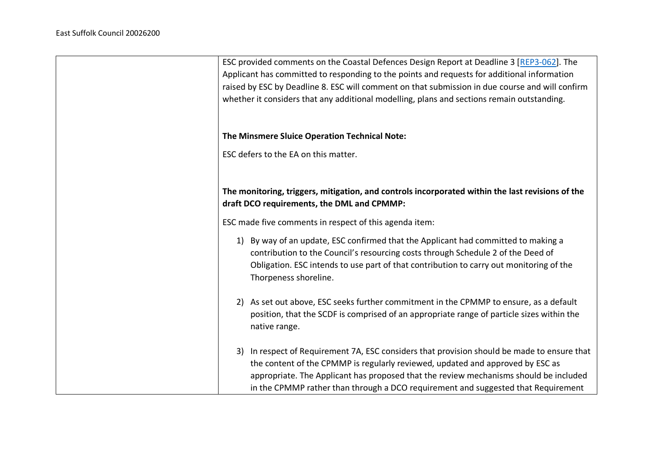| ESC provided comments on the Coastal Defences Design Report at Deadline 3 [REP3-062]. The<br>Applicant has committed to responding to the points and requests for additional information<br>raised by ESC by Deadline 8. ESC will comment on that submission in due course and will confirm<br>whether it considers that any additional modelling, plans and sections remain outstanding. |
|-------------------------------------------------------------------------------------------------------------------------------------------------------------------------------------------------------------------------------------------------------------------------------------------------------------------------------------------------------------------------------------------|
| The Minsmere Sluice Operation Technical Note:                                                                                                                                                                                                                                                                                                                                             |
| ESC defers to the EA on this matter.                                                                                                                                                                                                                                                                                                                                                      |
| The monitoring, triggers, mitigation, and controls incorporated within the last revisions of the<br>draft DCO requirements, the DML and CPMMP:                                                                                                                                                                                                                                            |
| ESC made five comments in respect of this agenda item:                                                                                                                                                                                                                                                                                                                                    |
| 1) By way of an update, ESC confirmed that the Applicant had committed to making a<br>contribution to the Council's resourcing costs through Schedule 2 of the Deed of<br>Obligation. ESC intends to use part of that contribution to carry out monitoring of the<br>Thorpeness shoreline.                                                                                                |
| 2) As set out above, ESC seeks further commitment in the CPMMP to ensure, as a default<br>position, that the SCDF is comprised of an appropriate range of particle sizes within the<br>native range.                                                                                                                                                                                      |
| In respect of Requirement 7A, ESC considers that provision should be made to ensure that<br>3)<br>the content of the CPMMP is regularly reviewed, updated and approved by ESC as<br>appropriate. The Applicant has proposed that the review mechanisms should be included<br>in the CPMMP rather than through a DCO requirement and suggested that Requirement                            |